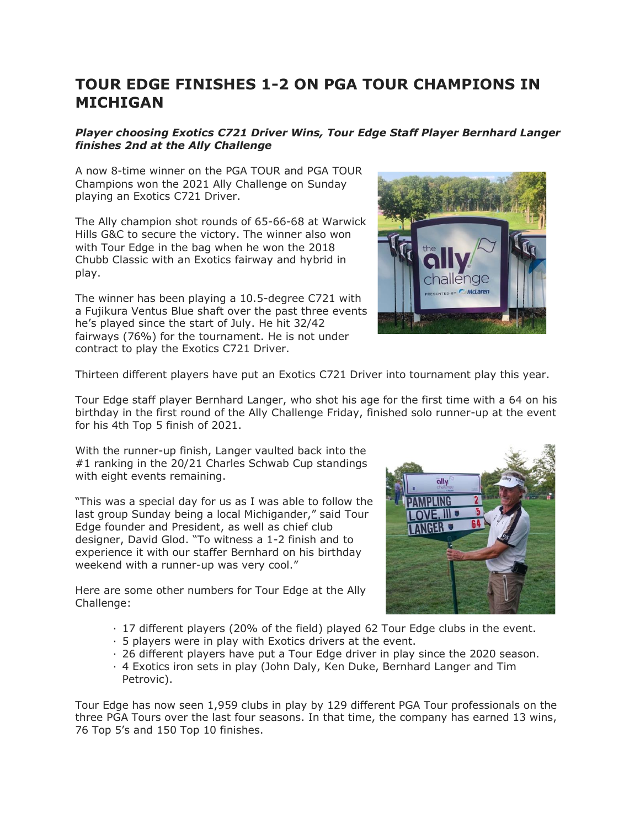## **TOUR EDGE FINISHES 1-2 ON PGA TOUR CHAMPIONS IN MICHIGAN**

## *Player choosing Exotics C721 Driver Wins, Tour Edge Staff Player Bernhard Langer finishes 2nd at the Ally Challenge*

A now 8-time winner on the PGA TOUR and PGA TOUR Champions won the 2021 Ally Challenge on Sunday playing an Exotics C721 Driver.

The Ally champion shot rounds of 65-66-68 at Warwick Hills G&C to secure the victory. The winner also won with Tour Edge in the bag when he won the 2018 Chubb Classic with an Exotics fairway and hybrid in play.

The winner has been playing a 10.5-degree C721 with a Fujikura Ventus Blue shaft over the past three events he's played since the start of July. He hit 32/42 fairways (76%) for the tournament. He is not under contract to play the Exotics C721 Driver.



Thirteen different players have put an Exotics C721 Driver into tournament play this year.

Tour Edge staff player Bernhard Langer, who shot his age for the first time with a 64 on his birthday in the first round of the Ally Challenge Friday, finished solo runner-up at the event for his 4th Top 5 finish of 2021.

With the runner-up finish, Langer vaulted back into the #1 ranking in the 20/21 Charles Schwab Cup standings with eight events remaining.

"This was a special day for us as I was able to follow the last group Sunday being a local Michigander," said Tour Edge founder and President, as well as chief club designer, David Glod. "To witness a 1-2 finish and to experience it with our staffer Bernhard on his birthday weekend with a runner-up was very cool."

Here are some other numbers for Tour Edge at the Ally Challenge:



- · 17 different players (20% of the field) played 62 Tour Edge clubs in the event.
- · 5 players were in play with Exotics drivers at the event.
- · 26 different players have put a Tour Edge driver in play since the 2020 season.
- · 4 Exotics iron sets in play (John Daly, Ken Duke, Bernhard Langer and Tim Petrovic).

Tour Edge has now seen 1,959 clubs in play by 129 different PGA Tour professionals on the three PGA Tours over the last four seasons. In that time, the company has earned 13 wins, 76 Top 5's and 150 Top 10 finishes.